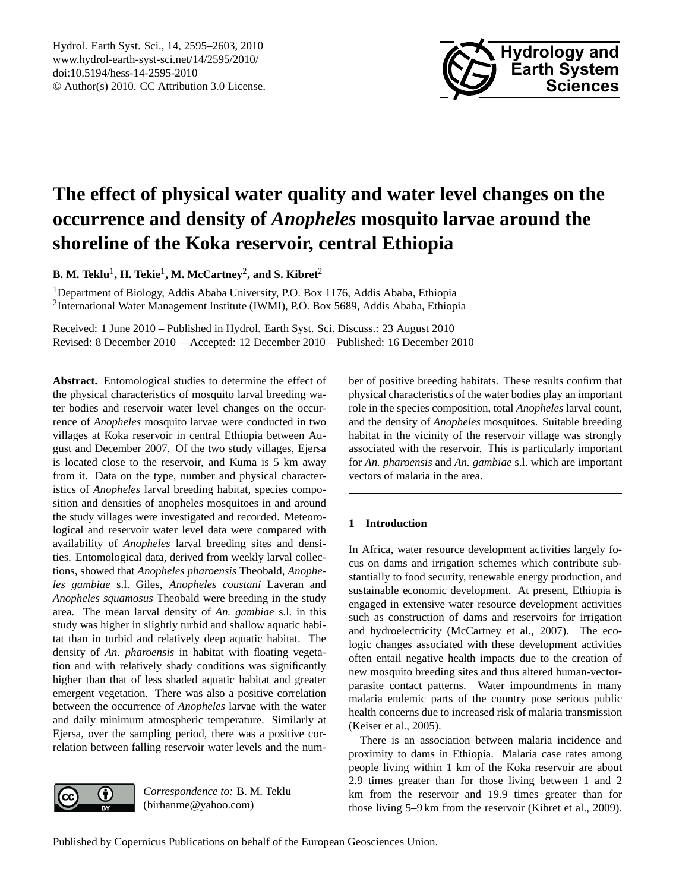

# <span id="page-0-0"></span>**The effect of physical water quality and water level changes on the occurrence and density of** *Anopheles* **mosquito larvae around the shoreline of the Koka reservoir, central Ethiopia**

**B. M. Teklu** $^1$ **, H. Tekie** $^1$ **, M. McCartney** $^2$ **, and S. Kibret** $^2$ 

<sup>1</sup>Department of Biology, Addis Ababa University, P.O. Box 1176, Addis Ababa, Ethiopia <sup>2</sup>International Water Management Institute (IWMI), P.O. Box 5689, Addis Ababa, Ethiopia

Received: 1 June 2010 – Published in Hydrol. Earth Syst. Sci. Discuss.: 23 August 2010 Revised: 8 December 2010 – Accepted: 12 December 2010 – Published: 16 December 2010

**Abstract.** Entomological studies to determine the effect of the physical characteristics of mosquito larval breeding water bodies and reservoir water level changes on the occurrence of *Anopheles* mosquito larvae were conducted in two villages at Koka reservoir in central Ethiopia between August and December 2007. Of the two study villages, Ejersa is located close to the reservoir, and Kuma is 5 km away from it. Data on the type, number and physical characteristics of *Anopheles* larval breeding habitat, species composition and densities of anopheles mosquitoes in and around the study villages were investigated and recorded. Meteorological and reservoir water level data were compared with availability of *Anopheles* larval breeding sites and densities. Entomological data, derived from weekly larval collections, showed that *Anopheles pharoensis* Theobald, *Anopheles gambiae* s.l. Giles, *Anopheles coustani* Laveran and *Anopheles squamosus* Theobald were breeding in the study area. The mean larval density of *An. gambiae* s.l. in this study was higher in slightly turbid and shallow aquatic habitat than in turbid and relatively deep aquatic habitat. The density of *An. pharoensis* in habitat with floating vegetation and with relatively shady conditions was significantly higher than that of less shaded aquatic habitat and greater emergent vegetation. There was also a positive correlation between the occurrence of *Anopheles* larvae with the water and daily minimum atmospheric temperature. Similarly at Ejersa, over the sampling period, there was a positive correlation between falling reservoir water levels and the num-



*Correspondence to:* B. M. Teklu (birhanme@yahoo.com)

ber of positive breeding habitats. These results confirm that physical characteristics of the water bodies play an important role in the species composition, total *Anopheles* larval count, and the density of *Anopheles* mosquitoes. Suitable breeding habitat in the vicinity of the reservoir village was strongly associated with the reservoir. This is particularly important for *An. pharoensis* and *An. gambiae* s.l. which are important vectors of malaria in the area.

# **1 Introduction**

In Africa, water resource development activities largely focus on dams and irrigation schemes which contribute substantially to food security, renewable energy production, and sustainable economic development. At present, Ethiopia is engaged in extensive water resource development activities such as construction of dams and reservoirs for irrigation and hydroelectricity (McCartney et al., 2007). The ecologic changes associated with these development activities often entail negative health impacts due to the creation of new mosquito breeding sites and thus altered human-vectorparasite contact patterns. Water impoundments in many malaria endemic parts of the country pose serious public health concerns due to increased risk of malaria transmission (Keiser et al., 2005).

There is an association between malaria incidence and proximity to dams in Ethiopia. Malaria case rates among people living within 1 km of the Koka reservoir are about 2.9 times greater than for those living between 1 and 2 km from the reservoir and 19.9 times greater than for those living 5–9 km from the reservoir (Kibret et al., 2009).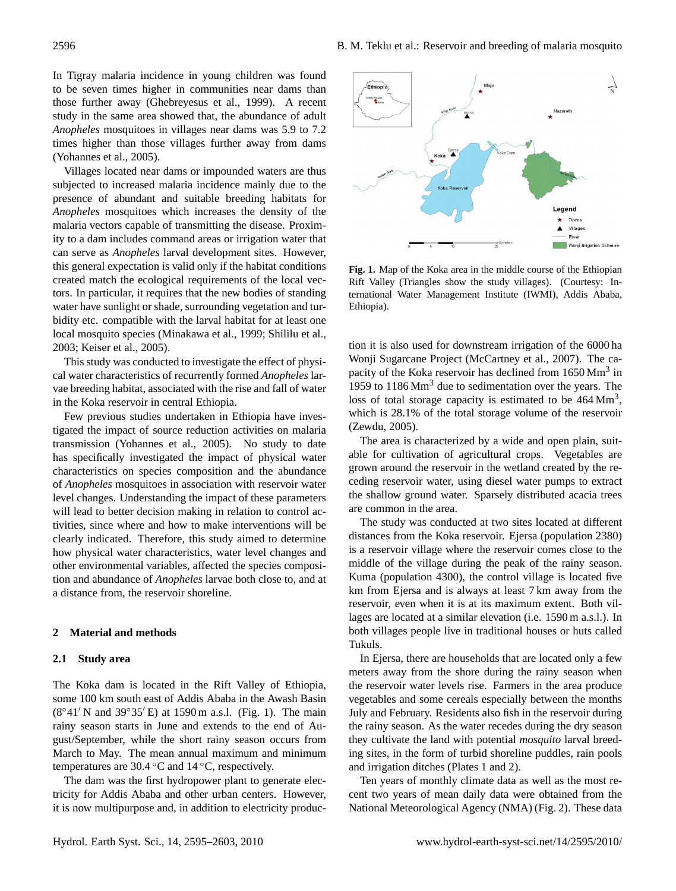In Tigray malaria incidence in young children was found to be seven times higher in communities near dams than those further away (Ghebreyesus et al., 1999). A recent study in the same area showed that, the abundance of adult *Anopheles* mosquitoes in villages near dams was 5.9 to 7.2 times higher than those villages further away from dams (Yohannes et al., 2005).

Villages located near dams or impounded waters are thus subjected to increased malaria incidence mainly due to the presence of abundant and suitable breeding habitats for *Anopheles* mosquitoes which increases the density of the malaria vectors capable of transmitting the disease. Proximity to a dam includes command areas or irrigation water that can serve as *Anopheles* larval development sites. However, this general expectation is valid only if the habitat conditions created match the ecological requirements of the local vectors. In particular, it requires that the new bodies of standing water have sunlight or shade, surrounding vegetation and turbidity etc. compatible with the larval habitat for at least one local mosquito species (Minakawa et al., 1999; Shililu et al., 2003; Keiser et al., 2005).

This study was conducted to investigate the effect of physical water characteristics of recurrently formed *Anopheles* larvae breeding habitat, associated with the rise and fall of water in the Koka reservoir in central Ethiopia.

Few previous studies undertaken in Ethiopia have investigated the impact of source reduction activities on malaria transmission (Yohannes et al., 2005). No study to date has specifically investigated the impact of physical water characteristics on species composition and the abundance of *Anopheles* mosquitoes in association with reservoir water level changes. Understanding the impact of these parameters will lead to better decision making in relation to control activities, since where and how to make interventions will be clearly indicated. Therefore, this study aimed to determine how physical water characteristics, water level changes and other environmental variables, affected the species composition and abundance of *Anopheles* larvae both close to, and at a distance from, the reservoir shoreline.

#### **2 Material and methods**

#### **2.1 Study area**

The Koka dam is located in the Rift Valley of Ethiopia, some 100 km south east of Addis Ababa in the Awash Basin  $(8°41' N$  and  $39°35' E)$  at 1590 m a.s.l. (Fig. 1). The main rainy season starts in June and extends to the end of August/September, while the short rainy season occurs from March to May. The mean annual maximum and minimum temperatures are 30.4 ◦C and 14 ◦C, respectively.

The dam was the first hydropower plant to generate electricity for Addis Ababa and other urban centers. However, it is now multipurpose and, in addition to electricity produc-



Rift Valley (Triangles show the study villages). (Courtesy: International Water Management Institute (IWMI), Addis Ababa, Ethiopia). **Fig. 1.** Map of the Koka area in the middle course of the Ethiopian

tion it is also used for downstream irrigation of the 6000 ha Wonji Sugarcane Project (McCartney et al., 2007). The capacity of the Koka reservoir has declined from 1650 Mm<sup>3</sup> in 1959 to 1186 Mm<sup>3</sup> due to sedimentation over the years. The loss of total storage capacity is estimated to be  $464 \text{ Mm}^3$ , which is 28.1% of the total storage volume of the reservoir (Zewdu, 2005).

grown around the reservoir in the wetland created by the re-The area is characterized by a wide and open plain, suitable for cultivation of agricultural crops. Vegetables are ceding reservoir water, using diesel water pumps to extract the shallow ground water. Sparsely distributed acacia trees are common in the area.

The study was conducted at two sites located at different distances from the Koka reservoir. Ejersa (population 2380) is a reservoir village where the reservoir comes close to the middle of the village during the peak of the rainy season. Kuma (population 4300), the control village is located five km from Ejersa and is always at least 7 km away from the reservoir, even when it is at its maximum extent. Both villages are located at a similar elevation (i.e. 1590 m a.s.l.). In both villages people live in traditional houses or huts called Tukuls.

In Ejersa, there are households that are located only a few meters away from the shore during the rainy season when the reservoir water levels rise. Farmers in the area produce vegetables and some cereals especially between the months July and February. Residents also fish in the reservoir during the rainy season. As the water recedes during the dry season they cultivate the land with potential *mosquito* larval breeding sites, in the form of turbid shoreline puddles, rain pools and irrigation ditches (Plates 1 and 2).

Ten years of monthly climate data as well as the most recent two years of mean daily data were obtained from the National Meteorological Agency (NMA) (Fig. 2). These data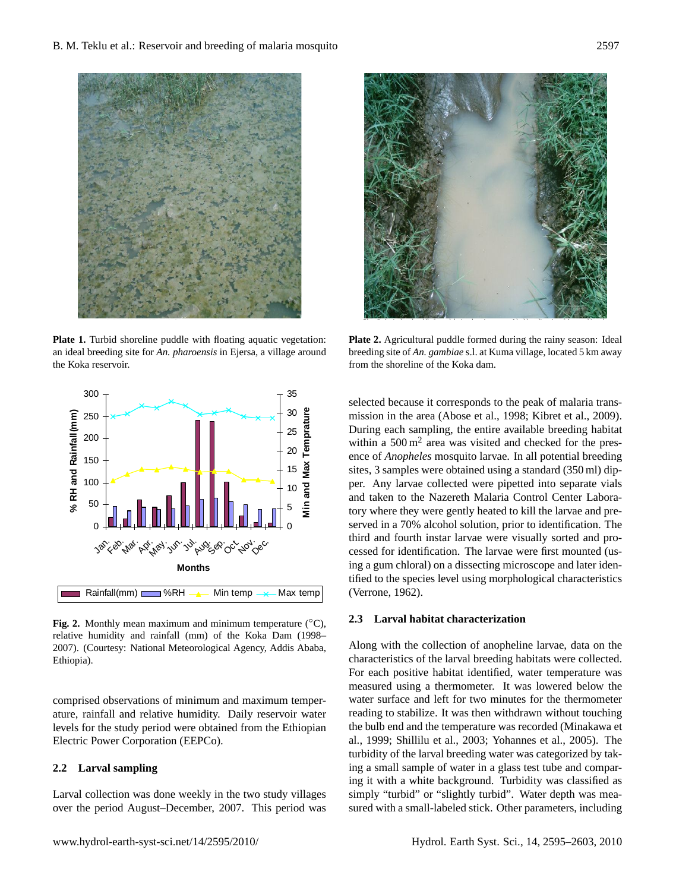

Plate 1. Turbid shoreline puddle with floating aquatic vegetation: an ideal breeding site for *An. pharoensis* in Ejersa, a village around the Koka reservoir.



Fig. 2. Monthly mean maximum and minimum temperature  $(^{\circ}C)$ , rainfall (mm) of the Koka Dam (1998-2007). (Courtesy: National Meteorological 2007). (Courtesy: National Meteorological Agency, Addis Ababa, Ethiopia). relative humidity and rainfall (mm) of the Koka Dam (1998–

comprised observations of minimum and maximum temperature, rainfall and relative humidity. Daily reservoir water levels for the study period were obtained from the Ethiopian Electric Power Corporation (EEPCo).

## **2.2 Larval sampling**

Larval collection was done weekly in the two study villages over the period August–December, 2007. This period was



Plate 2. Agricultural puddle formed during the rainy season: Ideal breeding site of *An. gambiae* s.l. at Kuma village, located 5 km away from the shoreline of the Koka dam.

23 mission in the area (Abose et al., 1998; Kibret et al., 2009). selected because it corresponds to the peak of malaria trans-During each sampling, the entire available breeding habitat within a  $500 \text{ m}^2$  area was visited and checked for the presence of *Anopheles* mosquito larvae. In all potential breeding sites, 3 samples were obtained using a standard (350 ml) dipper. Any larvae collected were pipetted into separate vials and taken to the Nazereth Malaria Control Center Laboratory where they were gently heated to kill the larvae and preserved in a 70% alcohol solution, prior to identification. The third and fourth instar larvae were visually sorted and processed for identification. The larvae were first mounted (using a gum chloral) on a dissecting microscope and later identified to the species level using morphological characteristics (Verrone, 1962).

#### **2.3 Larval habitat characterization**

Along with the collection of anopheline larvae, data on the characteristics of the larval breeding habitats were collected. For each positive habitat identified, water temperature was measured using a thermometer. It was lowered below the water surface and left for two minutes for the thermometer reading to stabilize. It was then withdrawn without touching the bulb end and the temperature was recorded (Minakawa et al., 1999; Shillilu et al., 2003; Yohannes et al., 2005). The turbidity of the larval breeding water was categorized by taking a small sample of water in a glass test tube and comparing it with a white background. Turbidity was classified as simply "turbid" or "slightly turbid". Water depth was measured with a small-labeled stick. Other parameters, including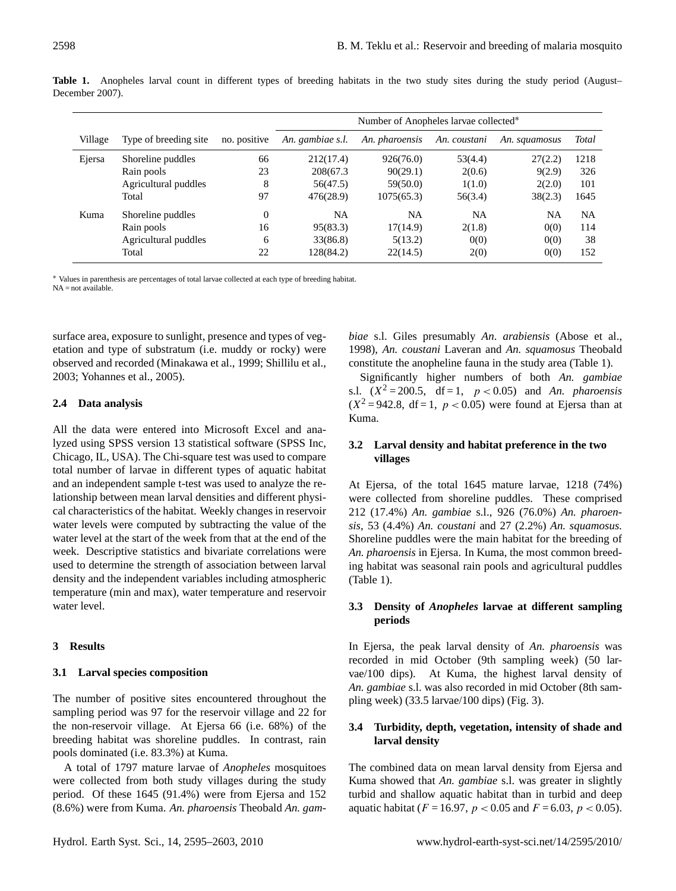| Village | Type of breeding site |              | Number of Anopheles larvae collected* |                |              |               |              |  |  |
|---------|-----------------------|--------------|---------------------------------------|----------------|--------------|---------------|--------------|--|--|
|         |                       | no. positive | An. gambiae s.l.                      | An. pharoensis | An. coustani | An. squamosus | <b>Total</b> |  |  |
| Ejersa  | Shoreline puddles     | 66           | 212(17.4)                             | 926(76.0)      | 53(4.4)      | 27(2.2)       | 1218         |  |  |
|         | Rain pools            | 23           | 208(67.3                              | 90(29.1)       | 2(0.6)       | 9(2.9)        | 326          |  |  |
|         | Agricultural puddles  | 8            | 56(47.5)                              | 59(50.0)       | 1(1.0)       | 2(2.0)        | 101          |  |  |
|         | Total                 | 97           | 476(28.9)                             | 1075(65.3)     | 56(3.4)      | 38(2.3)       | 1645         |  |  |
| Kuma    | Shoreline puddles     | $\mathbf{0}$ | NA                                    | NA             | NA           | NA            | NA           |  |  |
|         | Rain pools            | 16           | 95(83.3)                              | 17(14.9)       | 2(1.8)       | 0(0)          | 114          |  |  |
|         | Agricultural puddles  | 6            | 33(86.8)                              | 5(13.2)        | 0(0)         | 0(0)          | 38           |  |  |
|         | Total                 | 22           | 128(84.2)                             | 22(14.5)       | 2(0)         | 0(0)          | 152          |  |  |

**Table 1.** Anopheles larval count in different types of breeding habitats in the two study sites during the study period (August– December 2007).

<sup>∗</sup> Values in parenthesis are percentages of total larvae collected at each type of breeding habitat.  $NA = not available$ .

surface area, exposure to sunlight, presence and types of vegetation and type of substratum (i.e. muddy or rocky) were observed and recorded (Minakawa et al., 1999; Shillilu et al., 2003; Yohannes et al., 2005).

#### **2.4 Data analysis**

All the data were entered into Microsoft Excel and analyzed using SPSS version 13 statistical software (SPSS Inc, Chicago, IL, USA). The Chi-square test was used to compare total number of larvae in different types of aquatic habitat and an independent sample t-test was used to analyze the relationship between mean larval densities and different physical characteristics of the habitat. Weekly changes in reservoir water levels were computed by subtracting the value of the water level at the start of the week from that at the end of the week. Descriptive statistics and bivariate correlations were used to determine the strength of association between larval density and the independent variables including atmospheric temperature (min and max), water temperature and reservoir water level.

# **3 Results**

# **3.1 Larval species composition**

The number of positive sites encountered throughout the sampling period was 97 for the reservoir village and 22 for the non-reservoir village. At Ejersa 66 (i.e. 68%) of the breeding habitat was shoreline puddles. In contrast, rain pools dominated (i.e. 83.3%) at Kuma.

A total of 1797 mature larvae of *Anopheles* mosquitoes were collected from both study villages during the study period. Of these 1645 (91.4%) were from Ejersa and 152 (8.6%) were from Kuma. *An. pharoensis* Theobald *An. gam-* *biae* s.l. Giles presumably *An*. *arabiensis* (Abose et al., 1998), *An. coustani* Laveran and *An. squamosus* Theobald constitute the anopheline fauna in the study area (Table 1).

Significantly higher numbers of both *An. gambiae* s.l.  $(X^2 = 200.5, df = 1, p < 0.05)$  and An. pharoensis  $(X^2 = 942.8, df = 1, p < 0.05)$  were found at Ejersa than at Kuma.

# **3.2 Larval density and habitat preference in the two villages**

At Ejersa, of the total 1645 mature larvae, 1218 (74%) were collected from shoreline puddles. These comprised 212 (17.4%) *An. gambiae* s.l., 926 (76.0%) *An. pharoensis*, 53 (4.4%) *An. coustani* and 27 (2.2%) *An. squamosus.* Shoreline puddles were the main habitat for the breeding of *An. pharoensis* in Ejersa. In Kuma, the most common breeding habitat was seasonal rain pools and agricultural puddles (Table 1).

# **3.3 Density of** *Anopheles* **larvae at different sampling periods**

In Ejersa, the peak larval density of *An. pharoensis* was recorded in mid October (9th sampling week) (50 larvae/100 dips). At Kuma, the highest larval density of *An. gambiae* s.l. was also recorded in mid October (8th sampling week) (33.5 larvae/100 dips) (Fig. 3).

# **3.4 Turbidity, depth, vegetation, intensity of shade and larval density**

The combined data on mean larval density from Ejersa and Kuma showed that *An. gambiae* s.l. was greater in slightly turbid and shallow aquatic habitat than in turbid and deep aquatic habitat ( $F = 16.97$ ,  $p < 0.05$  and  $F = 6.03$ ,  $p < 0.05$ ).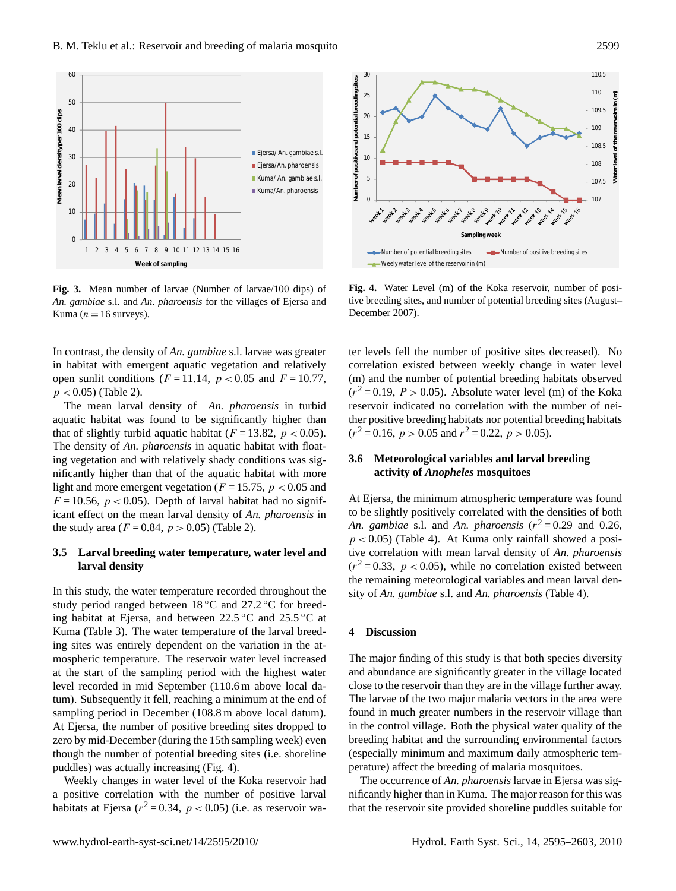

Fig. 3. Mean number of larvae (Number of larvae/100 dips) of *An. gambiae* s.l. and *An. pharoensis* for the villages of Ejersa and Kuma ( $n = 16$  surveys).

In contrast, the density of *An. gambiae* s.l. larvae was greater in habitat with emergent aquatic vegetation and relatively open sunlit conditions ( $F = 11.14$ ,  $p < 0.05$  and  $F = 10.77$ ,  $p < 0.05$ ) (Table 2).

The mean larval density of *An. pharoensis* in turbid aquatic habitat was found to be significantly higher than that of slightly turbid aquatic habitat ( $F = 13.82$ ,  $p < 0.05$ ). The density of *An. pharoensis* in aquatic habitat with floating vegetation and with relatively shady conditions was significantly higher than that of the aquatic habitat with more light and more emergent vegetation ( $F = 15.75$ ,  $p < 0.05$  and  $F = 10.56$ ,  $p < 0.05$ ). Depth of larval habitat had no significant effect on the mean larval density of *An. pharoensis* in the study area ( $F = 0.84$ ,  $p > 0.05$ ) (Table 2).

## **3.5 Larval breeding water temperature, water level and larval density**

In this study, the water temperature recorded throughout the study period ranged between 18 °C and 27.2 °C for breeding habitat at Ejersa, and between  $22.5\,^{\circ}\text{C}$  and  $25.5\,^{\circ}\text{C}$  at Kuma (Table 3). The water temperature of the larval breeding sites was entirely dependent on the variation in the atmospheric temperature. The reservoir water level increased at the start of the sampling period with the highest water level recorded in mid September (110.6 m above local datum). Subsequently it fell, reaching a minimum at the end of sampling period in December (108.8 m above local datum). At Ejersa, the number of positive breeding sites dropped to zero by mid-December (during the 15th sampling week) even though the number of potential breeding sites (i.e. shoreline puddles) was actually increasing (Fig. 4).

Weekly changes in water level of the Koka reservoir had a positive correlation with the number of positive larval habitats at Ejersa ( $r^2 = 0.34$ ,  $p < 0.05$ ) (i.e. as reservoir wa-



Fig. 4. Water Level (m) of the Koka reservoir, number of positive breeding sites, and number of potential breeding sites (August– December 2007).

ter levels fell the number of positive sites decreased). No correlation existed between weekly change in water level (m) and the number of potential breeding habitats observed  $(r^2 = 0.19, P > 0.05)$ . Absolute water level (m) of the Koka reservoir indicated no correlation with the number of neither positive breeding habitats nor potential breeding habitats  $(r^2 = 0.16, p > 0.05 \text{ and } r^2 = 0.22, p > 0.05).$ 

## **3.6 Meteorological variables and larval breeding activity of** *Anopheles* **mosquitoes**

At Ejersa, the minimum atmospheric temperature was found to be slightly positively correlated with the densities of both An. gambiae s.l. and An. pharoensis  $(r^2 = 0.29$  and 0.26,  $p < 0.05$ ) (Table 4). At Kuma only rainfall showed a positive correlation with mean larval density of *An. pharoensis*  $(r^2 = 0.33, p < 0.05)$ , while no correlation existed between the remaining meteorological variables and mean larval density of *An. gambiae* s.l. and *An. pharoensis* (Table 4).

#### **4 Discussion**

The major finding of this study is that both species diversity and abundance are significantly greater in the village located close to the reservoir than they are in the village further away. The larvae of the two major malaria vectors in the area were found in much greater numbers in the reservoir village than in the control village. Both the physical water quality of the breeding habitat and the surrounding environmental factors (especially minimum and maximum daily atmospheric temperature) affect the breeding of malaria mosquitoes.

The occurrence of *An. pharoensis* larvae in Ejersa was significantly higher than in Kuma. The major reason for this was that the reservoir site provided shoreline puddles suitable for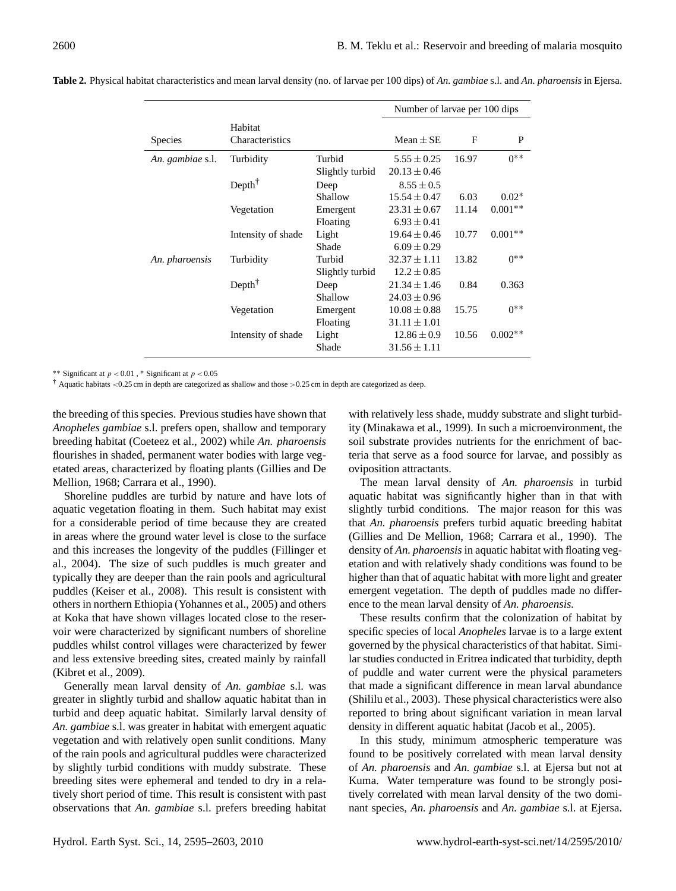|                  |                        |                 | Number of larvae per 100 dips |       |           |  |
|------------------|------------------------|-----------------|-------------------------------|-------|-----------|--|
|                  | Habitat                |                 |                               |       |           |  |
| Species          | <b>Characteristics</b> |                 | Mean $\pm$ SE                 | F     | P         |  |
| An. gambiae s.l. | Turbidity              | Turbid          | $5.55 \pm 0.25$               | 16.97 | $0**$     |  |
|                  |                        | Slightly turbid | $20.13 \pm 0.46$              |       |           |  |
|                  | $Depth^{\dagger}$      | Deep            | $8.55 \pm 0.5$                |       |           |  |
|                  |                        | Shallow         | $15.54 \pm 0.47$              | 6.03  | $0.02*$   |  |
|                  | Vegetation             | Emergent        | $23.31 \pm 0.67$              | 11.14 | $0.001**$ |  |
|                  |                        | Floating        | $6.93 \pm 0.41$               |       |           |  |
|                  | Intensity of shade     | Light           | $19.64 \pm 0.46$              | 10.77 | $0.001**$ |  |
|                  |                        | Shade           | $6.09 \pm 0.29$               |       |           |  |
| An. pharoensis   | Turbidity              | Turbid          | $32.37 \pm 1.11$              | 13.82 | $0^{**}$  |  |
|                  |                        | Slightly turbid | $12.2 \pm 0.85$               |       |           |  |
|                  | $Depth^{\dagger}$      | Deep            | $21.34 \pm 1.46$              | 0.84  | 0.363     |  |
|                  |                        | Shallow         | $24.03 \pm 0.96$              |       |           |  |
|                  | Vegetation             | Emergent        | $10.08 \pm 0.88$              | 15.75 | $0^{**}$  |  |
|                  |                        | Floating        | $31.11 \pm 1.01$              |       |           |  |
|                  | Intensity of shade     | Light           | $12.86 \pm 0.9$               | 10.56 | $0.002**$ |  |
|                  |                        | Shade           | $31.56 \pm 1.11$              |       |           |  |

**Table 2.** Physical habitat characteristics and mean larval density (no. of larvae per 100 dips) of *An. gambiae* s.l. and *An. pharoensis* in Ejersa.

∗∗ Significant at p < 0.01 , <sup>∗</sup> Significant at p < 0.05

<sup>†</sup> Aquatic habitats <0.25 cm in depth are categorized as shallow and those >0.25 cm in depth are categorized as deep.

the breeding of this species. Previous studies have shown that *Anopheles gambiae* s.l. prefers open, shallow and temporary breeding habitat (Coeteez et al., 2002) while *An. pharoensis* flourishes in shaded, permanent water bodies with large vegetated areas, characterized by floating plants (Gillies and De Mellion, 1968; Carrara et al., 1990).

Shoreline puddles are turbid by nature and have lots of aquatic vegetation floating in them. Such habitat may exist for a considerable period of time because they are created in areas where the ground water level is close to the surface and this increases the longevity of the puddles (Fillinger et al., 2004). The size of such puddles is much greater and typically they are deeper than the rain pools and agricultural puddles (Keiser et al., 2008). This result is consistent with others in northern Ethiopia (Yohannes et al., 2005) and others at Koka that have shown villages located close to the reservoir were characterized by significant numbers of shoreline puddles whilst control villages were characterized by fewer and less extensive breeding sites, created mainly by rainfall (Kibret et al., 2009).

Generally mean larval density of *An. gambiae* s.l. was greater in slightly turbid and shallow aquatic habitat than in turbid and deep aquatic habitat. Similarly larval density of *An. gambiae* s.l. was greater in habitat with emergent aquatic vegetation and with relatively open sunlit conditions. Many of the rain pools and agricultural puddles were characterized by slightly turbid conditions with muddy substrate. These breeding sites were ephemeral and tended to dry in a relatively short period of time. This result is consistent with past observations that *An. gambiae* s.l. prefers breeding habitat

with relatively less shade, muddy substrate and slight turbidity (Minakawa et al., 1999). In such a microenvironment, the soil substrate provides nutrients for the enrichment of bacteria that serve as a food source for larvae, and possibly as oviposition attractants.

The mean larval density of *An. pharoensis* in turbid aquatic habitat was significantly higher than in that with slightly turbid conditions. The major reason for this was that *An. pharoensis* prefers turbid aquatic breeding habitat (Gillies and De Mellion, 1968; Carrara et al., 1990). The density of *An. pharoensis* in aquatic habitat with floating vegetation and with relatively shady conditions was found to be higher than that of aquatic habitat with more light and greater emergent vegetation. The depth of puddles made no difference to the mean larval density of *An. pharoensis.*

These results confirm that the colonization of habitat by specific species of local *Anopheles* larvae is to a large extent governed by the physical characteristics of that habitat. Similar studies conducted in Eritrea indicated that turbidity, depth of puddle and water current were the physical parameters that made a significant difference in mean larval abundance (Shililu et al., 2003). These physical characteristics were also reported to bring about significant variation in mean larval density in different aquatic habitat (Jacob et al., 2005).

In this study, minimum atmospheric temperature was found to be positively correlated with mean larval density of *An. pharoensis* and *An. gambiae* s.l. at Ejersa but not at Kuma. Water temperature was found to be strongly positively correlated with mean larval density of the two dominant species, *An. pharoensis* and *An. gambiae* s.l. at Ejersa.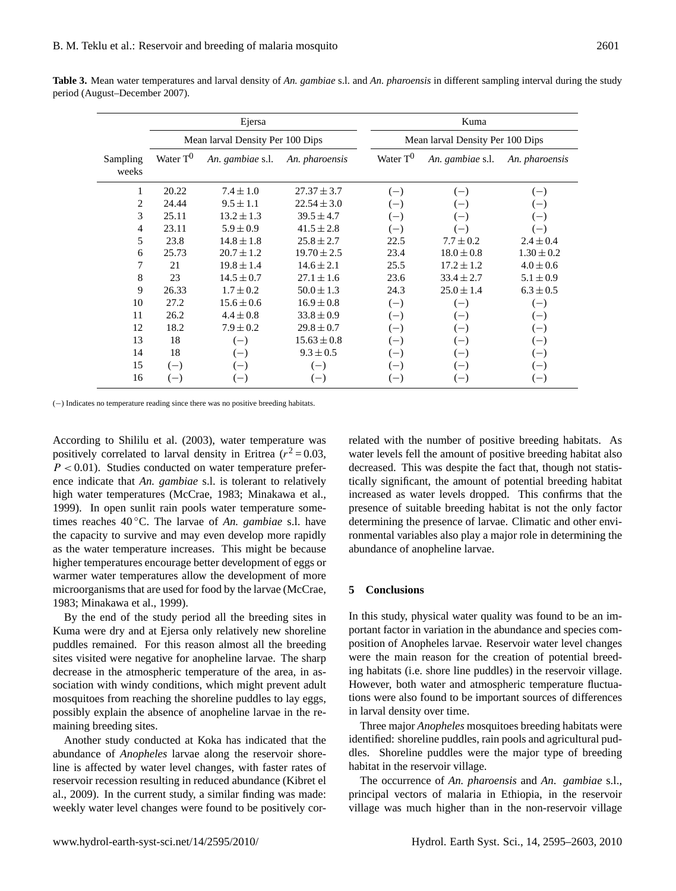|                   | Ejersa                           |                  |                 | Kuma                             |                  |                |  |
|-------------------|----------------------------------|------------------|-----------------|----------------------------------|------------------|----------------|--|
|                   | Mean larval Density Per 100 Dips |                  |                 | Mean larval Density Per 100 Dips |                  |                |  |
| Sampling<br>weeks | Water $T^0$                      | An. gambiae s.l. | An. pharoensis  | Water $T^0$                      | An. gambiae s.l. | An. pharoensis |  |
| 1                 | 20.22                            | $7.4 \pm 1.0$    | $27.37 \pm 3.7$ | $(-)$                            | $(-)$            | $(-)$          |  |
| 2                 | 24.44                            | $9.5 \pm 1.1$    | $22.54 \pm 3.0$ | $(-)$                            | $(-)$            | $(-)$          |  |
| 3                 | 25.11                            | $13.2 \pm 1.3$   | $39.5 \pm 4.7$  | $(-)$                            | $(-)$            | $(-)$          |  |
| 4                 | 23.11                            | $5.9 \pm 0.9$    | $41.5 \pm 2.8$  | $(-)$                            | $(-)$            | $(-)$          |  |
| 5                 | 23.8                             | $14.8 \pm 1.8$   | $25.8 \pm 2.7$  | 22.5                             | $7.7 \pm 0.2$    | $2.4 \pm 0.4$  |  |
| 6                 | 25.73                            | $20.7 \pm 1.2$   | $19.70 \pm 2.5$ | 23.4                             | $18.0 \pm 0.8$   | $1.30 \pm 0.2$ |  |
| 7                 | 21                               | $19.8 \pm 1.4$   | $14.6 \pm 2.1$  | 25.5                             | $17.2 \pm 1.2$   | $4.0 \pm 0.6$  |  |
| 8                 | 23                               | $14.5 \pm 0.7$   | $27.1 \pm 1.6$  | 23.6                             | $33.4 \pm 2.7$   | $5.1 \pm 0.9$  |  |
| 9                 | 26.33                            | $1.7 \pm 0.2$    | $50.0 \pm 1.3$  | 24.3                             | $25.0 \pm 1.4$   | $6.3 \pm 0.5$  |  |
| 10                | 27.2                             | $15.6 \pm 0.6$   | $16.9 \pm 0.8$  | $(-)$                            | $(-)$            | $(-)$          |  |
| 11                | 26.2                             | $4.4 \pm 0.8$    | $33.8 \pm 0.9$  | $(-)$                            | $(-)$            | $(-)$          |  |
| 12                | 18.2                             | $7.9 \pm 0.2$    | $29.8 \pm 0.7$  | $(-)$                            | $(-)$            | $(-)$          |  |
| 13                | 18                               | $(-)$            | $15.63 \pm 0.8$ | $(-)$                            | $(-)$            | $(-)$          |  |
| 14                | 18                               | $(-)$            | $9.3 \pm 0.5$   | $(-)$                            | $(-)$            | $(-)$          |  |
| 15                | $(-)$                            | $(-)$            | $(-)$           | $(-)$                            | $(-)$            | $(-)$          |  |
| 16                | $(-)$                            | $(-)$            | $(-)$           | $(-)$                            | $(-)$            | $(-)$          |  |

**Table 3.** Mean water temperatures and larval density of *An. gambiae* s.l. and *An. pharoensis* in different sampling interval during the study period (August–December 2007).

(−) Indicates no temperature reading since there was no positive breeding habitats.

According to Shililu et al. (2003), water temperature was positively correlated to larval density in Eritrea ( $r^2 = 0.03$ ,  $P < 0.01$ ). Studies conducted on water temperature preference indicate that *An. gambiae* s.l. is tolerant to relatively high water temperatures (McCrae, 1983; Minakawa et al., 1999). In open sunlit rain pools water temperature sometimes reaches 40 ◦C. The larvae of *An. gambiae* s.l. have the capacity to survive and may even develop more rapidly as the water temperature increases. This might be because higher temperatures encourage better development of eggs or warmer water temperatures allow the development of more microorganisms that are used for food by the larvae (McCrae, 1983; Minakawa et al., 1999).

By the end of the study period all the breeding sites in Kuma were dry and at Ejersa only relatively new shoreline puddles remained. For this reason almost all the breeding sites visited were negative for anopheline larvae. The sharp decrease in the atmospheric temperature of the area, in association with windy conditions, which might prevent adult mosquitoes from reaching the shoreline puddles to lay eggs, possibly explain the absence of anopheline larvae in the remaining breeding sites.

Another study conducted at Koka has indicated that the abundance of *Anopheles* larvae along the reservoir shoreline is affected by water level changes, with faster rates of reservoir recession resulting in reduced abundance (Kibret el al., 2009). In the current study, a similar finding was made: weekly water level changes were found to be positively correlated with the number of positive breeding habitats. As water levels fell the amount of positive breeding habitat also decreased. This was despite the fact that, though not statistically significant, the amount of potential breeding habitat increased as water levels dropped. This confirms that the presence of suitable breeding habitat is not the only factor determining the presence of larvae. Climatic and other environmental variables also play a major role in determining the abundance of anopheline larvae.

#### **5 Conclusions**

In this study, physical water quality was found to be an important factor in variation in the abundance and species composition of Anopheles larvae. Reservoir water level changes were the main reason for the creation of potential breeding habitats (i.e. shore line puddles) in the reservoir village. However, both water and atmospheric temperature fluctuations were also found to be important sources of differences in larval density over time.

Three major *Anopheles* mosquitoes breeding habitats were identified: shoreline puddles, rain pools and agricultural puddles. Shoreline puddles were the major type of breeding habitat in the reservoir village.

The occurrence of *An. pharoensis* and *An*. *gambiae* s.l., principal vectors of malaria in Ethiopia, in the reservoir village was much higher than in the non-reservoir village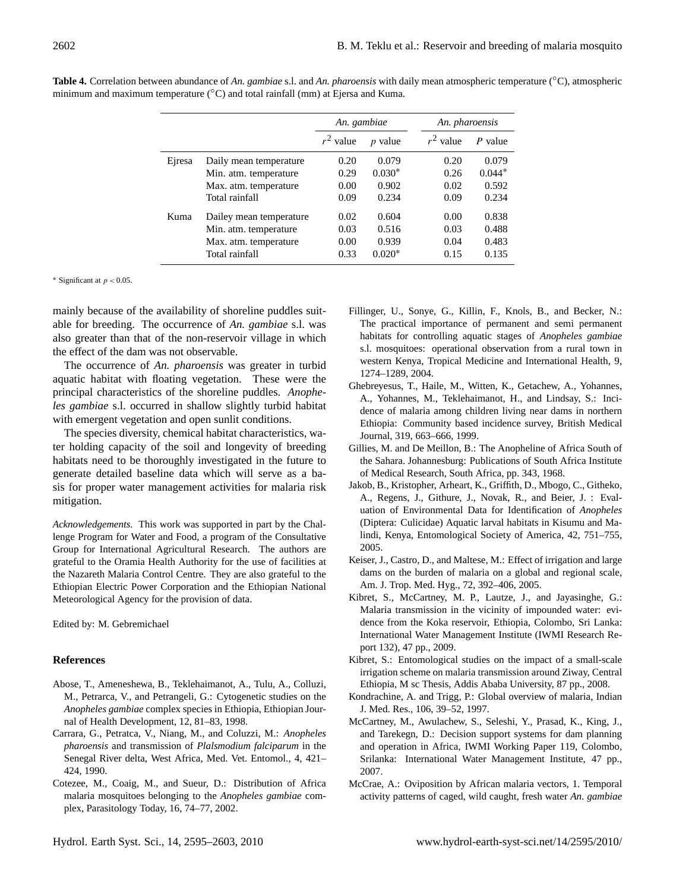|        |                         | An. gambiae |           | An. pharoensis |           |
|--------|-------------------------|-------------|-----------|----------------|-----------|
|        |                         | $r^2$ value | $p$ value | $r^2$ value    | $P$ value |
| Eiresa | Daily mean temperature  | 0.20        | 0.079     | 0.20           | 0.079     |
|        | Min. atm. temperature   | 0.29        | $0.030*$  | 0.26           | $0.044*$  |
|        | Max. atm. temperature   | 0.00        | 0.902     | 0.02           | 0.592     |
|        | Total rainfall          | 0.09        | 0.234     | 0.09           | 0.234     |
| Kuma   | Dailey mean temperature | 0.02        | 0.604     | 0.00           | 0.838     |
|        | Min. atm. temperature   | 0.03        | 0.516     | 0.03           | 0.488     |
|        | Max. atm. temperature   | 0.00        | 0.939     | 0.04           | 0.483     |
|        | Total rainfall          | 0.33        | $0.020*$  | 0.15           | 0.135     |

**Table 4.** Correlation between abundance of *An. gambiae* s.l. and *An. pharoensis* with daily mean atmospheric temperature (◦C), atmospheric minimum and maximum temperature (◦C) and total rainfall (mm) at Ejersa and Kuma.

 $*$  Significant at  $p < 0.05$ .

mainly because of the availability of shoreline puddles suitable for breeding. The occurrence of *An. gambiae* s.l. was also greater than that of the non-reservoir village in which the effect of the dam was not observable.

The occurrence of *An. pharoensis* was greater in turbid aquatic habitat with floating vegetation. These were the principal characteristics of the shoreline puddles. *Anopheles gambiae* s.l. occurred in shallow slightly turbid habitat with emergent vegetation and open sunlit conditions.

The species diversity, chemical habitat characteristics, water holding capacity of the soil and longevity of breeding habitats need to be thoroughly investigated in the future to generate detailed baseline data which will serve as a basis for proper water management activities for malaria risk mitigation.

*Acknowledgements.* This work was supported in part by the Challenge Program for Water and Food, a program of the Consultative Group for International Agricultural Research. The authors are grateful to the Oramia Health Authority for the use of facilities at the Nazareth Malaria Control Centre. They are also grateful to the Ethiopian Electric Power Corporation and the Ethiopian National Meteorological Agency for the provision of data.

Edited by: M. Gebremichael

#### **References**

- Abose, T., Ameneshewa, B., Teklehaimanot, A., Tulu, A., Colluzi, M., Petrarca, V., and Petrangeli, G.: Cytogenetic studies on the *Anopheles gambiae* complex species in Ethiopia, Ethiopian Journal of Health Development, 12, 81–83, 1998.
- Carrara, G., Petratca, V., Niang, M., and Coluzzi, M.: *Anopheles pharoensis* and transmission of *Plalsmodium falciparum* in the Senegal River delta, West Africa, Med. Vet. Entomol., 4, 421– 424, 1990.
- Cotezee, M., Coaig, M., and Sueur, D.: Distribution of Africa malaria mosquitoes belonging to the *Anopheles gambiae* complex, Parasitology Today, 16, 74–77, 2002.
- Fillinger, U., Sonye, G., Killin, F., Knols, B., and Becker, N.: The practical importance of permanent and semi permanent habitats for controlling aquatic stages of *Anopheles gambiae* s.l. mosquitoes: operational observation from a rural town in western Kenya, Tropical Medicine and International Health, 9, 1274–1289, 2004.
- Ghebreyesus, T., Haile, M., Witten, K., Getachew, A., Yohannes, A., Yohannes, M., Teklehaimanot, H., and Lindsay, S.: Incidence of malaria among children living near dams in northern Ethiopia: Community based incidence survey, British Medical Journal, 319, 663–666, 1999.
- Gillies, M. and De Meillon, B.: The Anopheline of Africa South of the Sahara. Johannesburg: Publications of South Africa Institute of Medical Research, South Africa, pp. 343, 1968.
- Jakob, B., Kristopher, Arheart, K., Griffith, D., Mbogo, C., Githeko, A., Regens, J., Githure, J., Novak, R., and Beier, J. : Evaluation of Environmental Data for Identification of *Anopheles* (Diptera: Culicidae) Aquatic larval habitats in Kisumu and Malindi, Kenya, Entomological Society of America, 42, 751–755, 2005.
- Keiser, J., Castro, D., and Maltese, M.: Effect of irrigation and large dams on the burden of malaria on a global and regional scale, Am. J. Trop. Med. Hyg., 72, 392–406, 2005.
- Kibret, S., McCartney, M. P., Lautze, J., and Jayasinghe, G.: Malaria transmission in the vicinity of impounded water: evidence from the Koka reservoir, Ethiopia, Colombo, Sri Lanka: International Water Management Institute (IWMI Research Report 132), 47 pp., 2009.
- Kibret, S.: Entomological studies on the impact of a small-scale irrigation scheme on malaria transmission around Ziway, Central Ethiopia, M sc Thesis, Addis Ababa University, 87 pp., 2008.
- Kondrachine, A. and Trigg, P.: Global overview of malaria, Indian J. Med. Res., 106, 39–52, 1997.
- McCartney, M., Awulachew, S., Seleshi, Y., Prasad, K., King, J., and Tarekegn, D.: Decision support systems for dam planning and operation in Africa, IWMI Working Paper 119, Colombo, Srilanka: International Water Management Institute, 47 pp., 2007.
- McCrae, A.: Oviposition by African malaria vectors, 1. Temporal activity patterns of caged, wild caught, fresh water *An. gambiae*